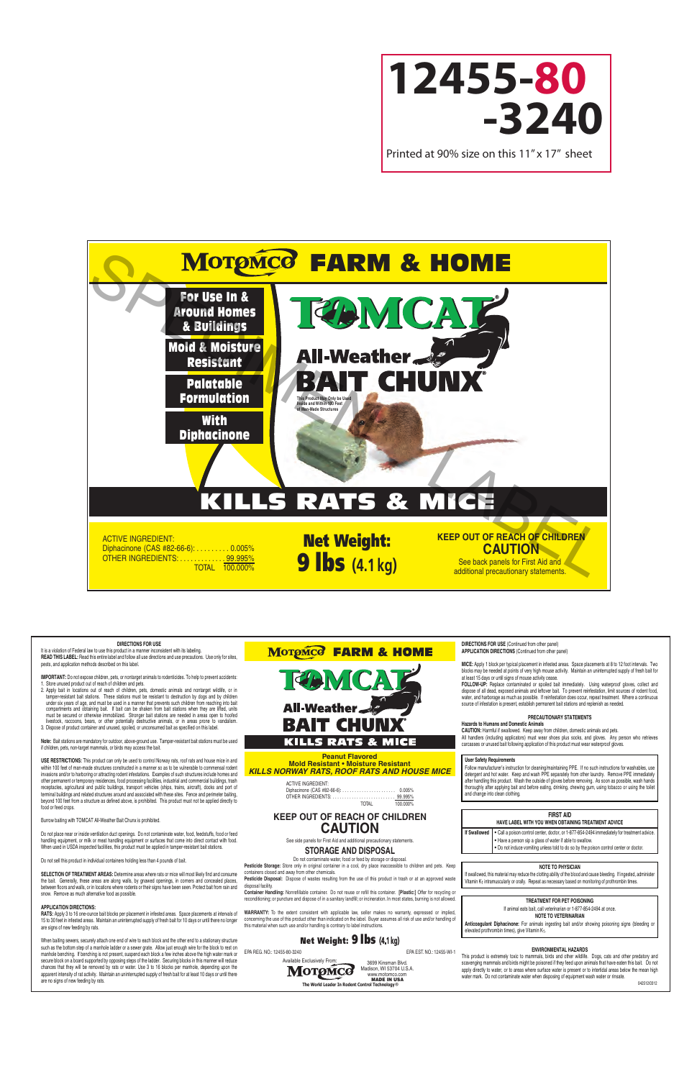

# KILLS RATS & MICE

ACTIVE INGREDIENT: Diphacinone (CAS #82-66-6): . . . . . . . . . 0.005% OTHER INGREDIENTS: . . . . . . . . . . . . . 99.995% TOTAL 100.000%

Net Weight: **9 lbs** (4.1 kg) See back panels for First Aid and

## **KEEP OUT OF REACH OF CHILDREN CAUTION**

additional precautionary statements.